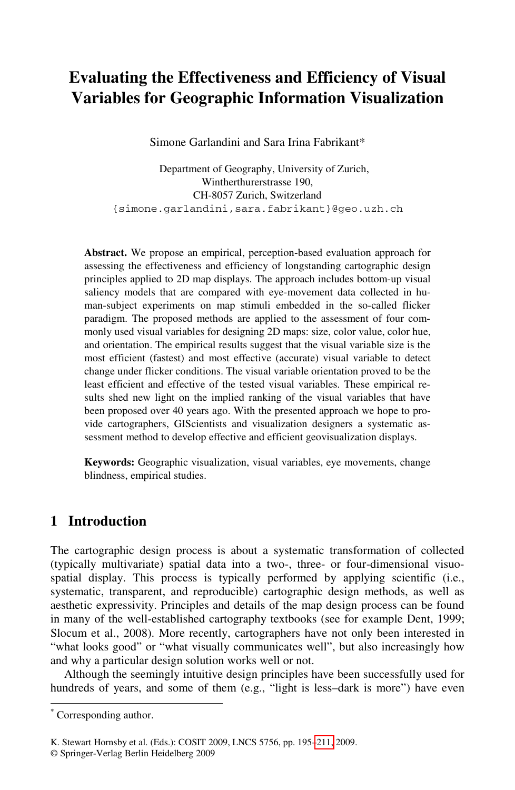# **Evaluating the Effectiveness and Efficiency of Visual Variables for Geographic Information Visualization**

Simone Garlandini and Sara Irina Fabrikant\*

Department of Geography, University of Zurich, Wintherthurerstrasse 190, CH-8057 Zurich, Switzerland {simone.garlandini,sara.fabrikant}@geo.uzh.ch

**Abstract.** We propose an empirical, perception-based evaluation approach for assessing the effectiveness and efficiency of longstanding cartographic design principles applied to 2D map displays. The approach includes bottom-up visual saliency models that are compared with eye-movement data collected in human-subject experiments on map stimuli embedded in the so-called flicker paradigm. The proposed methods are applied to the assessment of four commonly used visual variables for designing 2D maps: size, color value, color hue, and orientation. The empirical results suggest that the visual variable size is the most efficient (fastest) and most effective (accurate) visual variable to detect change under flicker conditions. The visual variable orientation proved to be the least efficient and effective of the tested visual variables. These empirical results shed new light on the implied ranking of the visual variables that have been proposed over 40 years ago. With the presented approach we hope to provide cartographers, GIScientists and visualization designers a systematic assessment method to develop effective and efficient geovisualization displays.

**Keywords:** Geographic visualization, visual variables, eye movements, change blindness, empirical studies.

### **1 Introduction**

The cartographic design process is about a systematic transformation of collected (typically multivariate) spatial data into a two-, three- or four-dimensional visuospatial display. This process is typically performed by applying scientific (i.e., systematic, transparent, and reproducible) cartographic design methods, as well as aesthetic expressivity. Principles and details of the map design process can be found in many of the well-established cartography textbooks (see for example Dent, 1999; Slocum et al., 2008). More recen[tly, c](#page-16-0)artographers have not only been interested in "what looks good" or "what visually communicates well", but also increasingly how and why a particular design solution works well or not.

Although the seemingly intuitive design principles have been successfully used for hundreds of years, and some of them (e.g., "light is less-dark is more") have even

j

<sup>\*</sup> Corresponding author.

K. Stewart Hornsby et al. (Eds.): COSIT 2009, LNCS 5756, pp. 195–211, 2009.

<sup>©</sup> Springer-Verlag Berlin Heidelberg 2009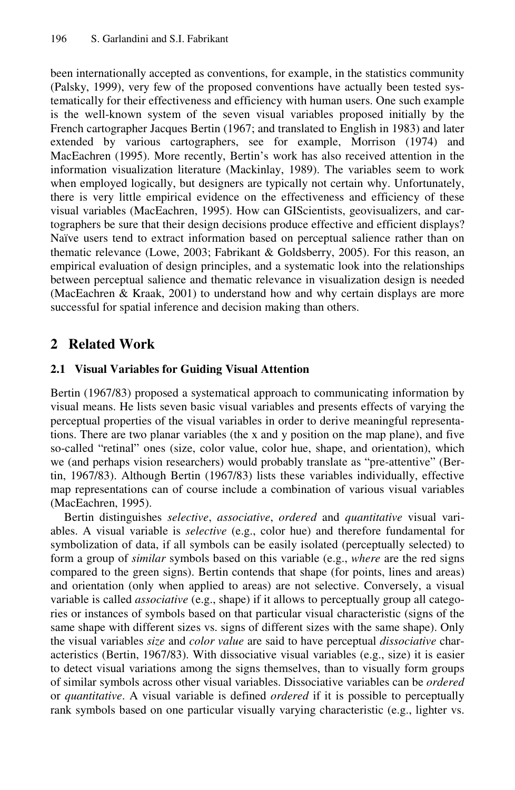been internationally accepted as conventions, for example, in the statistics community (Palsky, 1999), very few of the proposed conventions have actually been tested systematically for their effectiveness and efficiency with human users. One such example is the well-known system of the seven visual variables proposed initially by the French cartographer Jacques Bertin (1967; and translated to English in 1983) and later extended by various cartographers, see for example, Morrison (1974) and MacEachren (1995). More recently, Bertin's work has also received attention in the information visualization literature (Mackinlay, 1989). The variables seem to work when employed logically, but designers are typically not certain why. Unfortunately, there is very little empirical evidence on the effectiveness and efficiency of these visual variables (MacEachren, 1995). How can GIScientists, geovisualizers, and cartographers be sure that their design decisions produce effective and efficient displays? Naïve users tend to extract information based on perceptual salience rather than on thematic relevance (Lowe, 2003; Fabrikant & Goldsberry, 2005). For this reason, an empirical evaluation of design principles, and a systematic look into the relationships between perceptual salience and thematic relevance in visualization design is needed (MacEachren & Kraak, 2001) to understand how and why certain displays are more successful for spatial inference and decision making than others.

## **2 Related Work**

#### **2.1 Visual Variables for Guiding Visual Attention**

Bertin (1967/83) proposed a systematical approach to communicating information by visual means. He lists seven basic visual variables and presents effects of varying the perceptual properties of the visual variables in order to derive meaningful representations. There are two planar variables (the x and y position on the map plane), and five so-called "retinal" ones (size, color value, color hue, shape, and orientation), which we (and perhaps vision researchers) would probably translate as "pre-attentive" (Bertin, 1967/83). Although Bertin (1967/83) lists these variables individually, effective map representations can of course include a combination of various visual variables (MacEachren, 1995).

Bertin distinguishes *selective*, *associative*, *ordered* and *quantitative* visual variables. A visual variable is *selective* (e.g., color hue) and therefore fundamental for symbolization of data, if all symbols can be easily isolated (perceptually selected) to form a group of *similar* symbols based on this variable (e.g., *where* are the red signs compared to the green signs). Bertin contends that shape (for points, lines and areas) and orientation (only when applied to areas) are not selective. Conversely, a visual variable is called *associative* (e.g., shape) if it allows to perceptually group all categories or instances of symbols based on that particular visual characteristic (signs of the same shape with different sizes vs. signs of different sizes with the same shape). Only the visual variables *size* and *color value* are said to have perceptual *dissociative* characteristics (Bertin, 1967/83). With dissociative visual variables (e.g., size) it is easier to detect visual variations among the signs themselves, than to visually form groups of similar symbols across other visual variables. Dissociative variables can be *ordered* or *quantitative*. A visual variable is defined *ordered* if it is possible to perceptually rank symbols based on one particular visually varying characteristic (e.g., lighter vs.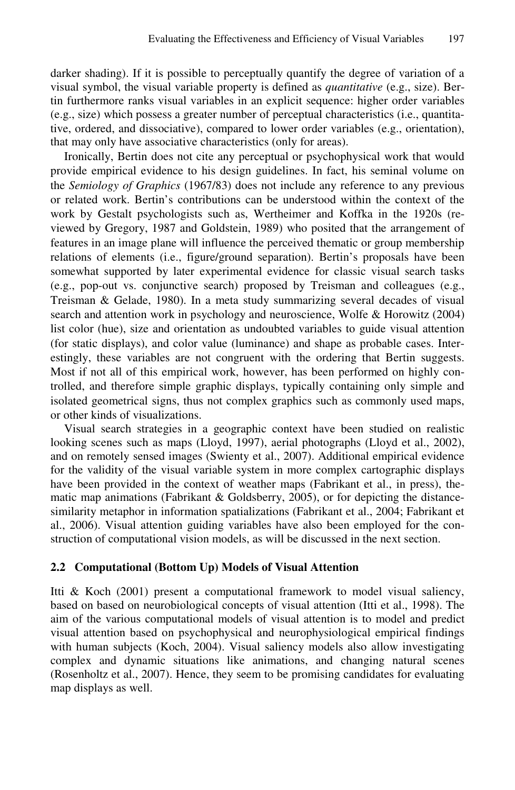darker shading). If it is possible to perceptually quantify the degree of variation of a visual symbol, the visual variable property is defined as *quantitative* (e.g., size). Bertin furthermore ranks visual variables in an explicit sequence: higher order variables (e.g., size) which possess a greater number of perceptual characteristics (i.e., quantitative, ordered, and dissociative), compared to lower order variables (e.g., orientation), that may only have associative characteristics (only for areas).

Ironically, Bertin does not cite any perceptual or psychophysical work that would provide empirical evidence to his design guidelines. In fact, his seminal volume on the *Semiology of Graphics* (1967/83) does not include any reference to any previous or related work. Bertin's contributions can be understood within the context of the work by Gestalt psychologists such as, Wertheimer and Koffka in the 1920s (reviewed by Gregory, 1987 and Goldstein, 1989) who posited that the arrangement of features in an image plane will influence the perceived thematic or group membership relations of elements (i.e., figure/ground separation). Bertin's proposals have been somewhat supported by later experimental evidence for classic visual search tasks (e.g., pop-out vs. conjunctive search) proposed by Treisman and colleagues (e.g., Treisman & Gelade, 1980). In a meta study summarizing several decades of visual search and attention work in psychology and neuroscience, Wolfe & Horowitz (2004) list color (hue), size and orientation as undoubted variables to guide visual attention (for static displays), and color value (luminance) and shape as probable cases. Interestingly, these variables are not congruent with the ordering that Bertin suggests. Most if not all of this empirical work, however, has been performed on highly controlled, and therefore simple graphic displays, typically containing only simple and isolated geometrical signs, thus not complex graphics such as commonly used maps, or other kinds of visualizations.

Visual search strategies in a geographic context have been studied on realistic looking scenes such as maps (Lloyd, 1997), aerial photographs (Lloyd et al., 2002), and on remotely sensed images (Swienty et al., 2007). Additional empirical evidence for the validity of the visual variable system in more complex cartographic displays have been provided in the context of weather maps (Fabrikant et al., in press), thematic map animations (Fabrikant & Goldsberry, 2005), or for depicting the distancesimilarity metaphor in information spatializations (Fabrikant et al., 2004; Fabrikant et al., 2006). Visual attention guiding variables have also been employed for the construction of computational vision models, as will be discussed in the next section.

#### **2.2 Computational (Bottom Up) Models of Visual Attention**

Itti & Koch (2001) present a computational framework to model visual saliency, based on based on neurobiological concepts of visual attention (Itti et al., 1998). The aim of the various computational models of visual attention is to model and predict visual attention based on psychophysical and neurophysiological empirical findings with human subjects (Koch, 2004). Visual saliency models also allow investigating complex and dynamic situations like animations, and changing natural scenes (Rosenholtz et al., 2007). Hence, they seem to be promising candidates for evaluating map displays as well.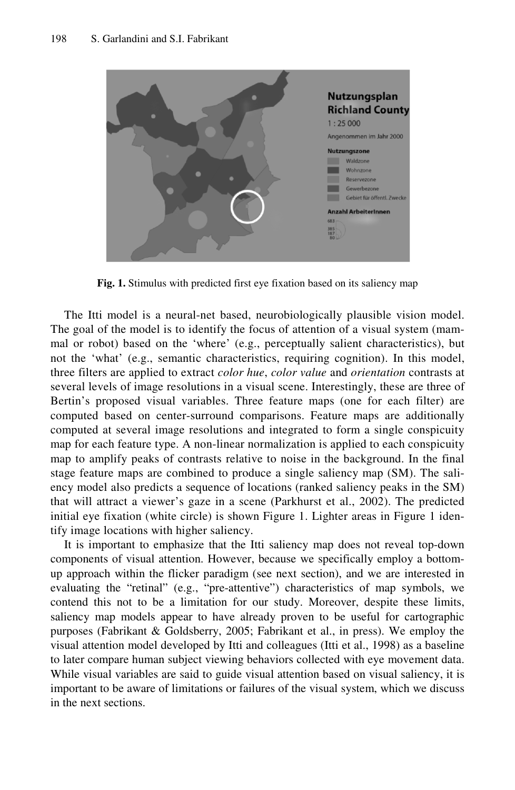

**Fig. 1.** Stimulus with predicted first eye fixation based on its saliency map

The Itti model is a neural-net based, neurobiologically plausible vision model. The goal of the model is to identify the focus of attention of a visual system (mammal or robot) based on the 'where' (e.g., perceptually salient characteristics), but not the 'what' (e.g., semantic characteristics, requiring cognition). In this model, three filters are applied to extract *color hue*, *color value* and *orientation* contrasts at several levels of image resolutions in a visual scene. Interestingly, these are three of Bertin's proposed visual variables. Three feature maps (one for each filter) are computed based on center-surround comparisons. Feature maps are additionally computed at several image resolutions and integrated to form a single conspicuity map for each feature type. A non-linear normalization is applied to each conspicuity map to amplify peaks of contrasts relative to noise in the background. In the final stage feature maps are combined to produce a single saliency map (SM). The saliency model also predicts a sequence of locations (ranked saliency peaks in the SM) that will attract a viewer's gaze in a scene (Parkhurst et al., 2002). The predicted initial eye fixation (white circle) is shown Figure 1. Lighter areas in Figure 1 identify image locations with higher saliency.

It is important to emphasize that the Itti saliency map does not reveal top-down components of visual attention. However, because we specifically employ a bottomup approach within the flicker paradigm (see next section), and we are interested in evaluating the "retinal" (e.g., "pre-attentive") characteristics of map symbols, we contend this not to be a limitation for our study. Moreover, despite these limits, saliency map models appear to have already proven to be useful for cartographic purposes (Fabrikant & Goldsberry, 2005; Fabrikant et al., in press). We employ the visual attention model developed by Itti and colleagues (Itti et al., 1998) as a baseline to later compare human subject viewing behaviors collected with eye movement data. While visual variables are said to guide visual attention based on visual saliency, it is important to be aware of limitations or failures of the visual system, which we discuss in the next sections.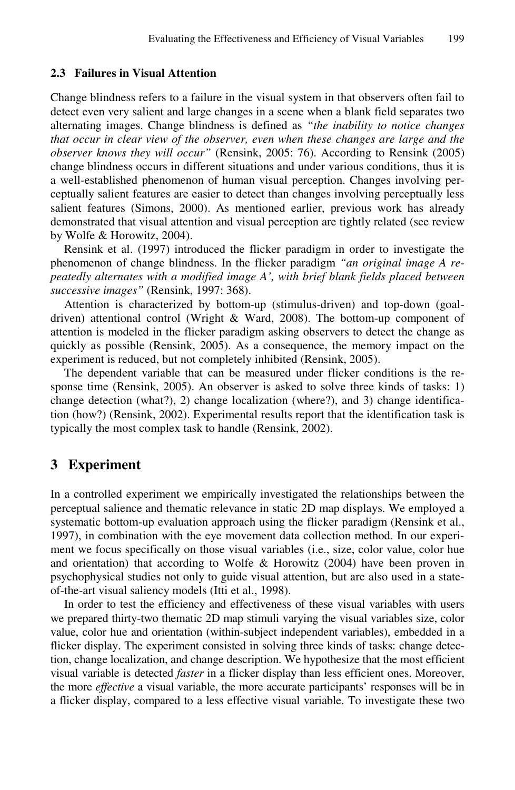#### **2.3 Failures in Visual Attention**

Change blindness refers to a failure in the visual system in that observers often fail to detect even very salient and large changes in a scene when a blank field separates two alternating images. Change blindness is defined as *"the inability to notice changes that occur in clear view of the observer, even when these changes are large and the observer knows they will occur"* (Rensink, 2005: 76). According to Rensink (2005) change blindness occurs in different situations and under various conditions, thus it is a well-established phenomenon of human visual perception. Changes involving perceptually salient features are easier to detect than changes involving perceptually less salient features (Simons, 2000). As mentioned earlier, previous work has already demonstrated that visual attention and visual perception are tightly related (see review by Wolfe & Horowitz, 2004).

Rensink et al. (1997) introduced the flicker paradigm in order to investigate the phenomenon of change blindness. In the flicker paradigm *"an original image A repeatedly alternates with a modified image A', with brief blank fields placed between successive images"* (Rensink, 1997: 368).

Attention is characterized by bottom-up (stimulus-driven) and top-down (goaldriven) attentional control (Wright & Ward, 2008). The bottom-up component of attention is modeled in the flicker paradigm asking observers to detect the change as quickly as possible (Rensink, 2005). As a consequence, the memory impact on the experiment is reduced, but not completely inhibited (Rensink, 2005).

The dependent variable that can be measured under flicker conditions is the response time (Rensink, 2005). An observer is asked to solve three kinds of tasks: 1) change detection (what?), 2) change localization (where?), and 3) change identification (how?) (Rensink, 2002). Experimental results report that the identification task is typically the most complex task to handle (Rensink, 2002).

### **3 Experiment**

In a controlled experiment we empirically investigated the relationships between the perceptual salience and thematic relevance in static 2D map displays. We employed a systematic bottom-up evaluation approach using the flicker paradigm (Rensink et al., 1997), in combination with the eye movement data collection method. In our experiment we focus specifically on those visual variables (i.e., size, color value, color hue and orientation) that according to Wolfe & Horowitz (2004) have been proven in psychophysical studies not only to guide visual attention, but are also used in a stateof-the-art visual saliency models (Itti et al., 1998).

In order to test the efficiency and effectiveness of these visual variables with users we prepared thirty-two thematic 2D map stimuli varying the visual variables size, color value, color hue and orientation (within-subject independent variables), embedded in a flicker display. The experiment consisted in solving three kinds of tasks: change detection, change localization, and change description. We hypothesize that the most efficient visual variable is detected *faster* in a flicker display than less efficient ones. Moreover, the more *effective* a visual variable, the more accurate participants' responses will be in a flicker display, compared to a less effective visual variable. To investigate these two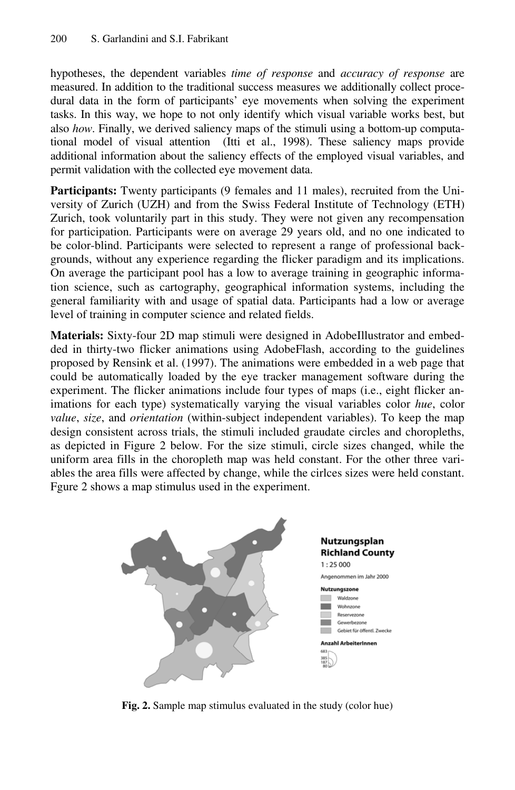hypotheses, the dependent variables *time of response* and *accuracy of response* are measured. In addition to the traditional success measures we additionally collect procedural data in the form of participants' eye movements when solving the experiment tasks. In this way, we hope to not only identify which visual variable works best, but also *how*. Finally, we derived saliency maps of the stimuli using a bottom-up computational model of visual attention (Itti et al., 1998). These saliency maps provide additional information about the saliency effects of the employed visual variables, and permit validation with the collected eye movement data.

**Participants:** Twenty participants (9 females and 11 males), recruited from the University of Zurich (UZH) and from the Swiss Federal Institute of Technology (ETH) Zurich, took voluntarily part in this study. They were not given any recompensation for participation. Participants were on average 29 years old, and no one indicated to be color-blind. Participants were selected to represent a range of professional backgrounds, without any experience regarding the flicker paradigm and its implications. On average the participant pool has a low to average training in geographic information science, such as cartography, geographical information systems, including the general familiarity with and usage of spatial data. Participants had a low or average level of training in computer science and related fields.

**Materials:** Sixty-four 2D map stimuli were designed in AdobeIllustrator and embedded in thirty-two flicker animations using AdobeFlash, according to the guidelines proposed by Rensink et al. (1997). The animations were embedded in a web page that could be automatically loaded by the eye tracker management software during the experiment. The flicker animations include four types of maps (i.e., eight flicker animations for each type) systematically varying the visual variables color *hue*, color *value*, *size*, and *orientation* (within-subject independent variables). To keep the map design consistent across trials, the stimuli included graudate circles and choropleths, as depicted in Figure 2 below. For the size stimuli, circle sizes changed, while the uniform area fills in the choropleth map was held constant. For the other three variables the area fills were affected by change, while the cirlces sizes were held constant. Fgure 2 shows a map stimulus used in the experiment.



**Fig. 2.** Sample map stimulus evaluated in the study (color hue)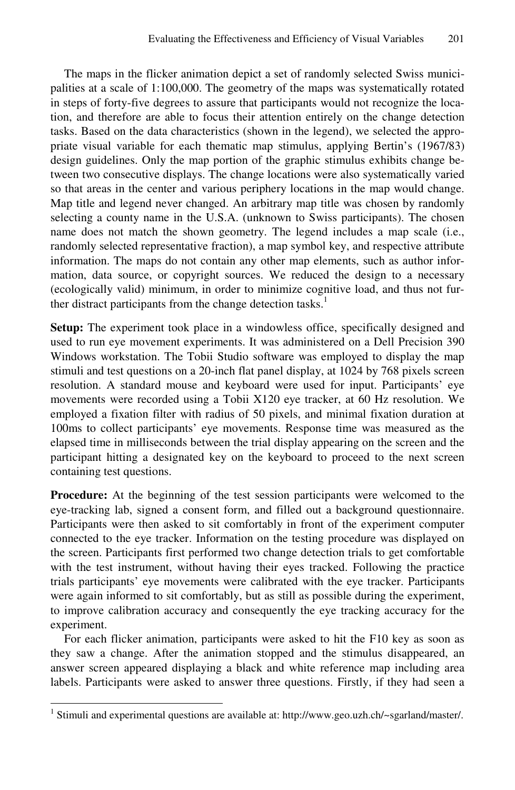The maps in the flicker animation depict a set of randomly selected Swiss municipalities at a scale of 1:100,000. The geometry of the maps was systematically rotated in steps of forty-five degrees to assure that participants would not recognize the location, and therefore are able to focus their attention entirely on the change detection tasks. Based on the data characteristics (shown in the legend), we selected the appropriate visual variable for each thematic map stimulus, applying Bertin's (1967/83) design guidelines. Only the map portion of the graphic stimulus exhibits change between two consecutive displays. The change locations were also systematically varied so that areas in the center and various periphery locations in the map would change. Map title and legend never changed. An arbitrary map title was chosen by randomly selecting a county name in the U.S.A. (unknown to Swiss participants). The chosen name does not match the shown geometry. The legend includes a map scale (i.e., randomly selected representative fraction), a map symbol key, and respective attribute information. The maps do not contain any other map elements, such as author information, data source, or copyright sources. We reduced the design to a necessary (ecologically valid) minimum, in order to minimize cognitive load, and thus not further distract participants from the change detection tasks.<sup>1</sup>

**Setup:** The experiment took place in a windowless office, specifically designed and used to run eye movement experiments. It was administered on a Dell Precision 390 Windows workstation. The Tobii Studio software was employed to display the map stimuli and test questions on a 20-inch flat panel display, at 1024 by 768 pixels screen resolution. A standard mouse and keyboard were used for input. Participants' eye movements were recorded using a Tobii X120 eye tracker, at 60 Hz resolution. We employed a fixation filter with radius of 50 pixels, and minimal fixation duration at 100ms to collect participants' eye movements. Response time was measured as the elapsed time in milliseconds between the trial display appearing on the screen and the participant hitting a designated key on the keyboard to proceed to the next screen containing test questions.

**Procedure:** At the beginning of the test session participants were welcomed to the eye-tracking lab, signed a consent form, and filled out a background questionnaire. Participants were then asked to sit comfortably in front of the experiment computer connected to the eye tracker. Information on the testing procedure was displayed on the screen. Participants first performed two change detection trials to get comfortable with the test instrument, without having their eyes tracked. Following the practice trials participants' eye movements were calibrated with the eye tracker. Participants were again informed to sit comfortably, but as still as possible during the experiment, to improve calibration accuracy and consequently the eye tracking accuracy for the experiment.

For each flicker animation, participants were asked to hit the F10 key as soon as they saw a change. After the animation stopped and the stimulus disappeared, an answer screen appeared displaying a black and white reference map including area labels. Participants were asked to answer three questions. Firstly, if they had seen a

l

<sup>&</sup>lt;sup>1</sup> Stimuli and experimental questions are available at: http://www.geo.uzh.ch/~sgarland/master/.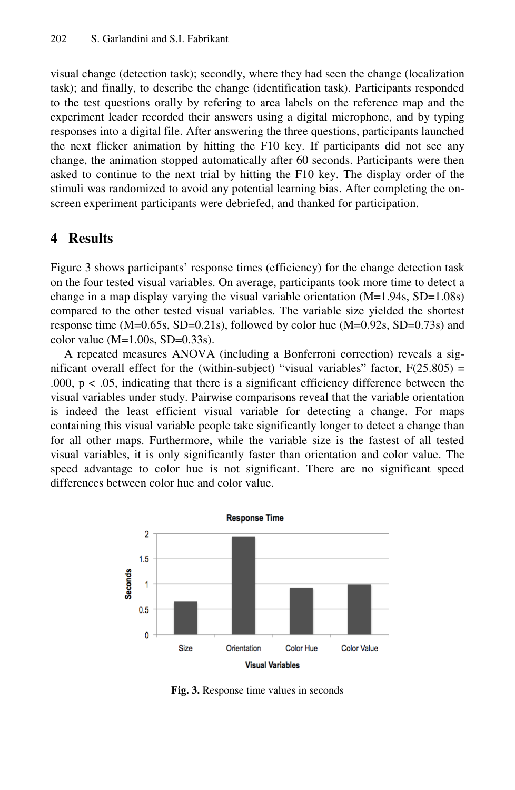visual change (detection task); secondly, where they had seen the change (localization task); and finally, to describe the change (identification task). Participants responded to the test questions orally by refering to area labels on the reference map and the experiment leader recorded their answers using a digital microphone, and by typing responses into a digital file. After answering the three questions, participants launched the next flicker animation by hitting the F10 key. If participants did not see any change, the animation stopped automatically after 60 seconds. Participants were then asked to continue to the next trial by hitting the F10 key. The display order of the stimuli was randomized to avoid any potential learning bias. After completing the onscreen experiment participants were debriefed, and thanked for participation.

## **4 Results**

Figure 3 shows participants' response times (efficiency) for the change detection task on the four tested visual variables. On average, participants took more time to detect a change in a map display varying the visual variable orientation (M=1.94s, SD=1.08s) compared to the other tested visual variables. The variable size yielded the shortest response time  $(M=0.65s, SD=0.21s)$ , followed by color hue  $(M=0.92s, SD=0.73s)$  and color value  $(M=1.00s, SD=0.33s)$ .

A repeated measures ANOVA (including a Bonferroni correction) reveals a significant overall effect for the (within-subject) "visual variables" factor,  $F(25.805) =$ .000,  $p < .05$ , indicating that there is a significant efficiency difference between the visual variables under study. Pairwise comparisons reveal that the variable orientation is indeed the least efficient visual variable for detecting a change. For maps containing this visual variable people take significantly longer to detect a change than for all other maps. Furthermore, while the variable size is the fastest of all tested visual variables, it is only significantly faster than orientation and color value. The speed advantage to color hue is not significant. There are no significant speed differences between color hue and color value.



**Fig. 3.** Response time values in seconds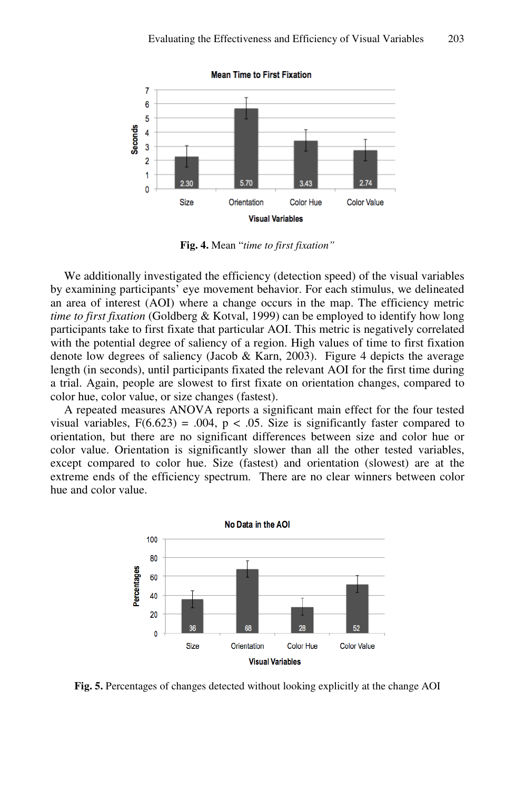

**Fig. 4.** Mean "*time to first fixation"*

We additionally investigated the efficiency (detection speed) of the visual variables by examining participants' eye movement behavior. For each stimulus, we delineated an area of interest (AOI) where a change occurs in the map. The efficiency metric *time to first fixation* (Goldberg & Kotval, 1999) can be employed to identify how long participants take to first fixate that particular AOI. This metric is negatively correlated with the potential degree of saliency of a region. High values of time to first fixation denote low degrees of saliency (Jacob & Karn, 2003). Figure 4 depicts the average length (in seconds), until participants fixated the relevant AOI for the first time during a trial. Again, people are slowest to first fixate on orientation changes, compared to color hue, color value, or size changes (fastest).

A repeated measures ANOVA reports a significant main effect for the four tested visual variables,  $F(6.623) = .004$ ,  $p < .05$ . Size is significantly faster compared to orientation, but there are no significant differences between size and color hue or color value. Orientation is significantly slower than all the other tested variables, except compared to color hue. Size (fastest) and orientation (slowest) are at the extreme ends of the efficiency spectrum. There are no clear winners between color hue and color value.



**Fig. 5.** Percentages of changes detected without looking explicitly at the change AOI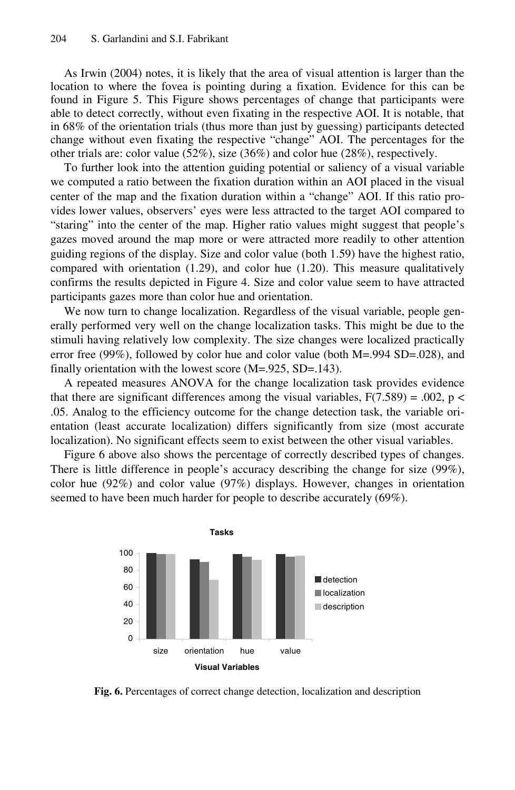As Irwin (2004) notes, it is likely that the area of visual attention is larger than the location to where the fovea is pointing during a fixation. Evidence for this can be found in Figure 5. This Figure shows percentages of change that participants were able to detect correctly, without even fixating in the respective AOI. It is notable, that in 68% of the orientation trials (thus more than just by guessing) participants detected change without even fixating the respective "change" AOI. The percentages for the other trials are: color value (52%), size (36%) and color hue (28%), respectively.

To further look into the attention guiding potential or saliency of a visual variable we computed a ratio between the fixation duration within an AOI placed in the visual center of the map and the fixation duration within a "change" AOI. If this ratio provides lower values, observers' eyes were less attracted to the target AOI compared to "staring" into the center of the map. Higher ratio values might suggest that people's gazes moved around the map more or were attracted more readily to other attention guiding regions of the display. Size and color value (both 1.59) have the highest ratio, compared with orientation (1.29), and color hue (1.20). This measure qualitatively confirms the results depicted in Figure 4. Size and color value seem to have attracted participants gazes more than color hue and orientation.

We now turn to change localization. Regardless of the visual variable, people generally performed very well on the change localization tasks. This might be due to the stimuli having relatively low complexity. The size changes were localized practically error free (99%), followed by color hue and color value (both M=.994 SD=.028), and finally orientation with the lowest score (M=.925, SD=.143).

A repeated measures ANOVA for the change localization task provides evidence that there are significant differences among the visual variables,  $F(7.589) = .002$ ,  $p <$ .05. Analog to the efficiency outcome for the change detection task, the variable orientation (least accurate localization) differs significantly from size (most accurate localization). No significant effects seem to exist between the other visual variables.

Figure 6 above also shows the percentage of correctly described types of changes. There is little difference in people's accuracy describing the change for size (99%), color hue (92%) and color value (97%) displays. However, changes in orientation seemed to have been much harder for people to describe accurately (69%).



**Fig. 6.** Percentages of correct change detection, localization and description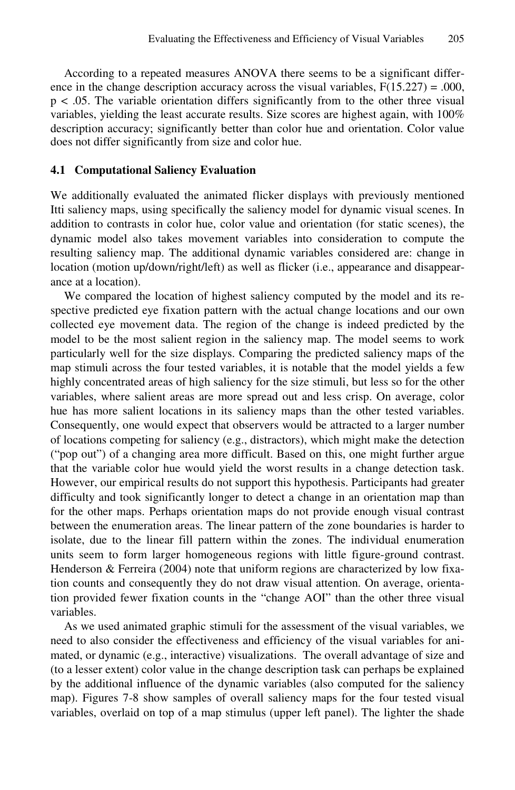According to a repeated measures ANOVA there seems to be a significant difference in the change description accuracy across the visual variables,  $F(15.227) = .000$ , p < .05. The variable orientation differs significantly from to the other three visual variables, yielding the least accurate results. Size scores are highest again, with 100% description accuracy; significantly better than color hue and orientation. Color value does not differ significantly from size and color hue.

#### **4.1 Computational Saliency Evaluation**

We additionally evaluated the animated flicker displays with previously mentioned Itti saliency maps, using specifically the saliency model for dynamic visual scenes. In addition to contrasts in color hue, color value and orientation (for static scenes), the dynamic model also takes movement variables into consideration to compute the resulting saliency map. The additional dynamic variables considered are: change in location (motion up/down/right/left) as well as flicker (i.e., appearance and disappearance at a location).

We compared the location of highest saliency computed by the model and its respective predicted eye fixation pattern with the actual change locations and our own collected eye movement data. The region of the change is indeed predicted by the model to be the most salient region in the saliency map. The model seems to work particularly well for the size displays. Comparing the predicted saliency maps of the map stimuli across the four tested variables, it is notable that the model yields a few highly concentrated areas of high saliency for the size stimuli, but less so for the other variables, where salient areas are more spread out and less crisp. On average, color hue has more salient locations in its saliency maps than the other tested variables. Consequently, one would expect that observers would be attracted to a larger number of locations competing for saliency (e.g., distractors), which might make the detection ("pop out") of a changing area more difficult. Based on this, one might further argue that the variable color hue would yield the worst results in a change detection task. However, our empirical results do not support this hypothesis. Participants had greater difficulty and took significantly longer to detect a change in an orientation map than for the other maps. Perhaps orientation maps do not provide enough visual contrast between the enumeration areas. The linear pattern of the zone boundaries is harder to isolate, due to the linear fill pattern within the zones. The individual enumeration units seem to form larger homogeneous regions with little figure-ground contrast. Henderson & Ferreira (2004) note that uniform regions are characterized by low fixation counts and consequently they do not draw visual attention. On average, orientation provided fewer fixation counts in the "change AOI" than the other three visual variables.

As we used animated graphic stimuli for the assessment of the visual variables, we need to also consider the effectiveness and efficiency of the visual variables for animated, or dynamic (e.g., interactive) visualizations. The overall advantage of size and (to a lesser extent) color value in the change description task can perhaps be explained by the additional influence of the dynamic variables (also computed for the saliency map). Figures 7-8 show samples of overall saliency maps for the four tested visual variables, overlaid on top of a map stimulus (upper left panel). The lighter the shade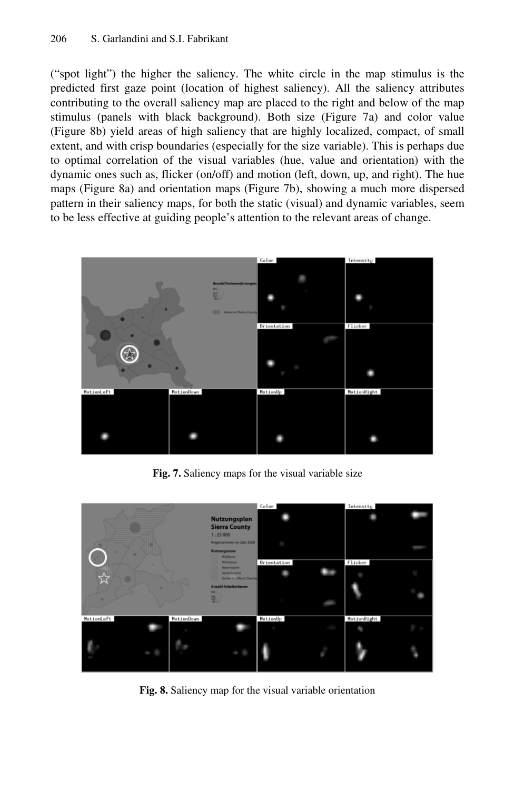("spot light") the higher the saliency. The white circle in the map stimulus is the predicted first gaze point (location of highest saliency). All the saliency attributes contributing to the overall saliency map are placed to the right and below of the map stimulus (panels with black background). Both size (Figure 7a) and color value (Figure 8b) yield areas of high saliency that are highly localized, compact, of small extent, and with crisp boundaries (especially for the size variable). This is perhaps due to optimal correlation of the visual variables (hue, value and orientation) with the dynamic ones such as, flicker (on/off) and motion (left, down, up, and right). The hue maps (Figure 8a) and orientation maps (Figure 7b), showing a much more dispersed pattern in their saliency maps, for both the static (visual) and dynamic variables, seem to be less effective at guiding people's attention to the relevant areas of change.



**Fig. 7.** Saliency maps for the visual variable size



**Fig. 8.** Saliency map for the visual variable orientation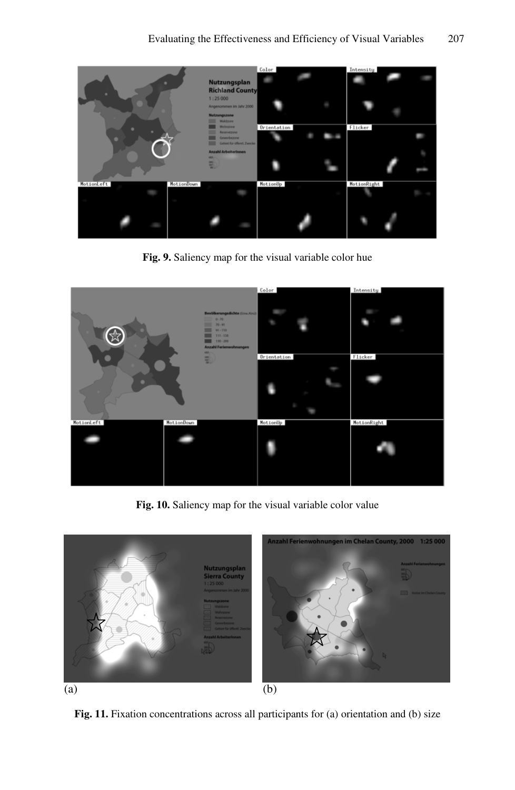

**Fig. 9.** Saliency map for the visual variable color hue



**Fig. 10.** Saliency map for the visual variable color value



**Fig. 11.** Fixation concentrations across all participants for (a) orientation and (b) size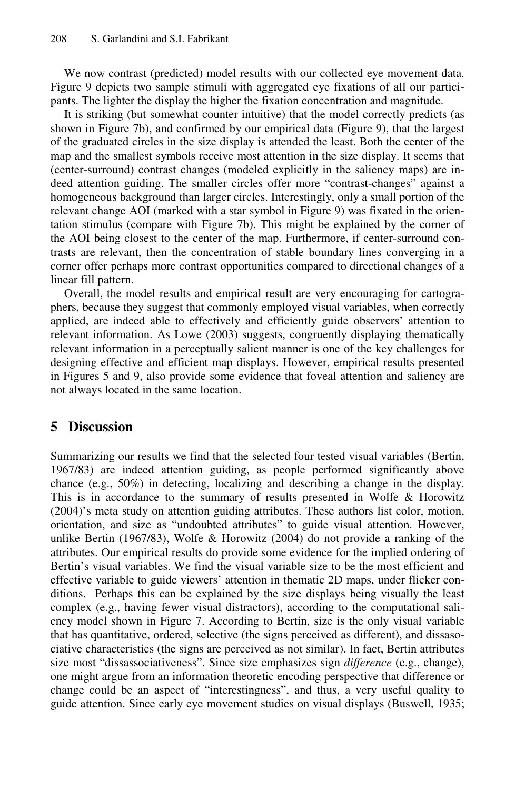We now contrast (predicted) model results with our collected eye movement data. Figure 9 depicts two sample stimuli with aggregated eye fixations of all our participants. The lighter the display the higher the fixation concentration and magnitude.

It is striking (but somewhat counter intuitive) that the model correctly predicts (as shown in Figure 7b), and confirmed by our empirical data (Figure 9), that the largest of the graduated circles in the size display is attended the least. Both the center of the map and the smallest symbols receive most attention in the size display. It seems that (center-surround) contrast changes (modeled explicitly in the saliency maps) are indeed attention guiding. The smaller circles offer more "contrast-changes" against a homogeneous background than larger circles. Interestingly, only a small portion of the relevant change AOI (marked with a star symbol in Figure 9) was fixated in the orientation stimulus (compare with Figure 7b). This might be explained by the corner of the AOI being closest to the center of the map. Furthermore, if center-surround contrasts are relevant, then the concentration of stable boundary lines converging in a corner offer perhaps more contrast opportunities compared to directional changes of a linear fill pattern.

Overall, the model results and empirical result are very encouraging for cartographers, because they suggest that commonly employed visual variables, when correctly applied, are indeed able to effectively and efficiently guide observers' attention to relevant information. As Lowe (2003) suggests, congruently displaying thematically relevant information in a perceptually salient manner is one of the key challenges for designing effective and efficient map displays. However, empirical results presented in Figures 5 and 9, also provide some evidence that foveal attention and saliency are not always located in the same location.

## **5 Discussion**

Summarizing our results we find that the selected four tested visual variables (Bertin, 1967/83) are indeed attention guiding, as people performed significantly above chance (e.g., 50%) in detecting, localizing and describing a change in the display. This is in accordance to the summary of results presented in Wolfe & Horowitz (2004)'s meta study on attention guiding attributes. These authors list color, motion, orientation, and size as "undoubted attributes" to guide visual attention. However, unlike Bertin (1967/83), Wolfe & Horowitz (2004) do not provide a ranking of the attributes. Our empirical results do provide some evidence for the implied ordering of Bertin's visual variables. We find the visual variable size to be the most efficient and effective variable to guide viewers' attention in thematic 2D maps, under flicker conditions. Perhaps this can be explained by the size displays being visually the least complex (e.g., having fewer visual distractors), according to the computational saliency model shown in Figure 7. According to Bertin, size is the only visual variable that has quantitative, ordered, selective (the signs perceived as different), and dissasociative characteristics (the signs are perceived as not similar). In fact, Bertin attributes size most "dissassociativeness". Since size emphasizes sign *difference* (e.g., change), one might argue from an information theoretic encoding perspective that difference or change could be an aspect of "interestingness", and thus, a very useful quality to guide attention. Since early eye movement studies on visual displays (Buswell, 1935;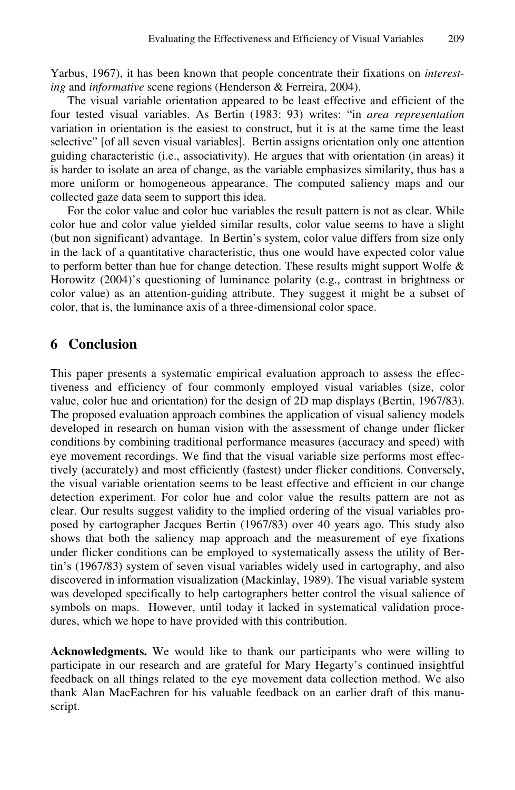Yarbus, 1967), it has been known that people concentrate their fixations on *interesting* and *informative* scene regions (Henderson & Ferreira, 2004).

The visual variable orientation appeared to be least effective and efficient of the four tested visual variables. As Bertin (1983: 93) writes: "in *area representation* variation in orientation is the easiest to construct, but it is at the same time the least selective" [of all seven visual variables]. Bertin assigns orientation only one attention guiding characteristic (i.e., associativity). He argues that with orientation (in areas) it is harder to isolate an area of change, as the variable emphasizes similarity, thus has a more uniform or homogeneous appearance. The computed saliency maps and our collected gaze data seem to support this idea.

For the color value and color hue variables the result pattern is not as clear. While color hue and color value yielded similar results, color value seems to have a slight (but non significant) advantage. In Bertin's system, color value differs from size only in the lack of a quantitative characteristic, thus one would have expected color value to perform better than hue for change detection. These results might support Wolfe  $\&$ Horowitz (2004)'s questioning of luminance polarity (e.g., contrast in brightness or color value) as an attention-guiding attribute. They suggest it might be a subset of color, that is, the luminance axis of a three-dimensional color space.

### **6 Conclusion**

This paper presents a systematic empirical evaluation approach to assess the effectiveness and efficiency of four commonly employed visual variables (size, color value, color hue and orientation) for the design of 2D map displays (Bertin, 1967/83). The proposed evaluation approach combines the application of visual saliency models developed in research on human vision with the assessment of change under flicker conditions by combining traditional performance measures (accuracy and speed) with eye movement recordings. We find that the visual variable size performs most effectively (accurately) and most efficiently (fastest) under flicker conditions. Conversely, the visual variable orientation seems to be least effective and efficient in our change detection experiment. For color hue and color value the results pattern are not as clear. Our results suggest validity to the implied ordering of the visual variables proposed by cartographer Jacques Bertin (1967/83) over 40 years ago. This study also shows that both the saliency map approach and the measurement of eye fixations under flicker conditions can be employed to systematically assess the utility of Bertin's (1967/83) system of seven visual variables widely used in cartography, and also discovered in information visualization (Mackinlay, 1989). The visual variable system was developed specifically to help cartographers better control the visual salience of symbols on maps. However, until today it lacked in systematical validation procedures, which we hope to have provided with this contribution.

**Acknowledgments.** We would like to thank our participants who were willing to participate in our research and are grateful for Mary Hegarty's continued insightful feedback on all things related to the eye movement data collection method. We also thank Alan MacEachren for his valuable feedback on an earlier draft of this manuscript.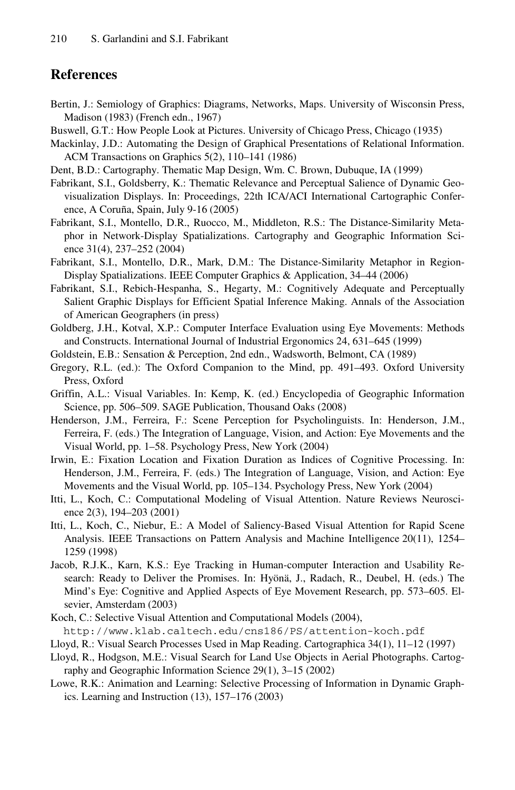## **References**

- Bertin, J.: Semiology of Graphics: Diagrams, Networks, Maps. University of Wisconsin Press, Madison (1983) (French edn., 1967)
- Buswell, G.T.: How People Look at Pictures. University of Chicago Press, Chicago (1935)
- Mackinlay, J.D.: Automating the Design of Graphical Presentations of Relational Information. ACM Transactions on Graphics 5(2), 110–141 (1986)
- Dent, B.D.: Cartography. Thematic Map Design, Wm. C. Brown, Dubuque, IA (1999)
- Fabrikant, S.I., Goldsberry, K.: Thematic Relevance and Perceptual Salience of Dynamic Geovisualization Displays. In: Proceedings, 22th ICA/ACI International Cartographic Conference, A Coruña, Spain, July 9-16 (2005)
- Fabrikant, S.I., Montello, D.R., Ruocco, M., Middleton, R.S.: The Distance-Similarity Metaphor in Network-Display Spatializations. Cartography and Geographic Information Science 31(4), 237–252 (2004)
- Fabrikant, S.I., Montello, D.R., Mark, D.M.: The Distance-Similarity Metaphor in Region-Display Spatializations. IEEE Computer Graphics & Application, 34–44 (2006)
- Fabrikant, S.I., Rebich-Hespanha, S., Hegarty, M.: Cognitively Adequate and Perceptually Salient Graphic Displays for Efficient Spatial Inference Making. Annals of the Association of American Geographers (in press)
- Goldberg, J.H., Kotval, X.P.: Computer Interface Evaluation using Eye Movements: Methods and Constructs. International Journal of Industrial Ergonomics 24, 631–645 (1999)
- Goldstein, E.B.: Sensation & Perception, 2nd edn., Wadsworth, Belmont, CA (1989)
- Gregory, R.L. (ed.): The Oxford Companion to the Mind, pp. 491–493. Oxford University Press, Oxford
- Griffin, A.L.: Visual Variables. In: Kemp, K. (ed.) Encyclopedia of Geographic Information Science, pp. 506–509. SAGE Publication, Thousand Oaks (2008)
- Henderson, J.M., Ferreira, F.: Scene Perception for Psycholinguists. In: Henderson, J.M., Ferreira, F. (eds.) The Integration of Language, Vision, and Action: Eye Movements and the Visual World, pp. 1–58. Psychology Press, New York (2004)
- Irwin, E.: Fixation Location and Fixation Duration as Indices of Cognitive Processing. In: Henderson, J.M., Ferreira, F. (eds.) The Integration of Language, Vision, and Action: Eye Movements and the Visual World, pp. 105–134. Psychology Press, New York (2004)
- Itti, L., Koch, C.: Computational Modeling of Visual Attention. Nature Reviews Neuroscience 2(3), 194–203 (2001)
- Itti, L., Koch, C., Niebur, E.: A Model of Saliency-Based Visual Attention for Rapid Scene Analysis. IEEE Transactions on Pattern Analysis and Machine Intelligence 20(11), 1254– 1259 (1998)
- Jacob, R.J.K., Karn, K.S.: Eye Tracking in Human-computer Interaction and Usability Research: Ready to Deliver the Promises. In: Hyönä, J., Radach, R., Deubel, H. (eds.) The Mind's Eye: Cognitive and Applied Aspects of Eye Movement Research, pp. 573–605. Elsevier, Amsterdam (2003)
- Koch, C.: Selective Visual Attention and Computational Models (2004),
- http://www.klab.caltech.edu/cns186/PS/attention-koch.pdf
- Lloyd, R.: Visual Search Processes Used in Map Reading. Cartographica 34(1), 11–12 (1997)
- Lloyd, R., Hodgson, M.E.: Visual Search for Land Use Objects in Aerial Photographs. Cartography and Geographic Information Science 29(1), 3–15 (2002)
- Lowe, R.K.: Animation and Learning: Selective Processing of Information in Dynamic Graphics. Learning and Instruction (13), 157–176 (2003)